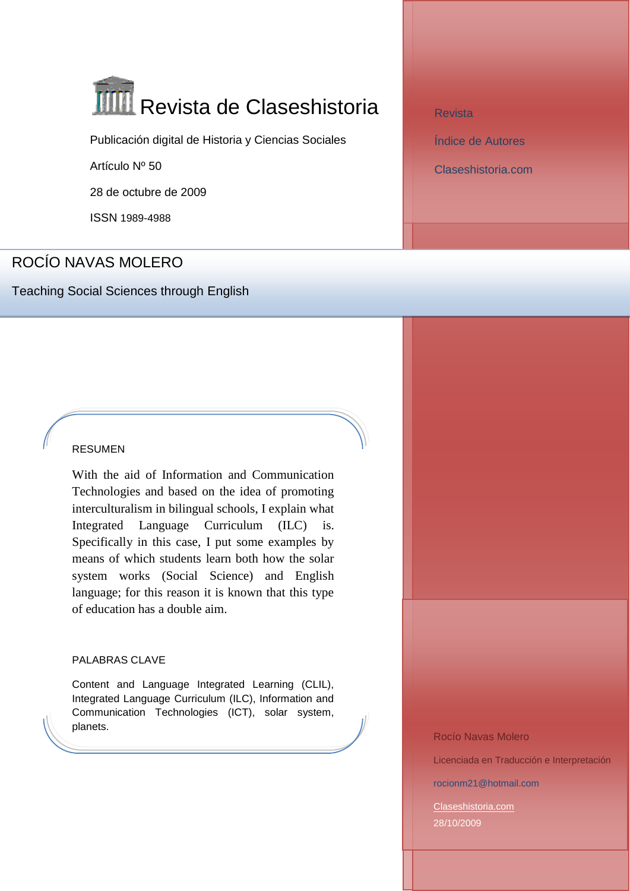# **TIIII** Revista de Claseshistoria

Publicación digital de Historia y Ciencias Sociales

Artículo Nº 50

28 de octubre de 2009

ISSN 1989-4988

## ROCÍO NAVAS MOLERO

Teaching Social Sciences through English

## RESUMEN

With the aid of Information and Communication Technologies and based on the idea of promoting interculturalism in bilingual schools, I explain what Integrated Language Curriculum (ILC) is. Specifically in this case, I put some examples by means of which students learn both how the solar system works (Social Science) and English language; for this reason it is known that this type of education has a double aim.

## PALABRAS CLAVE

Content and Language Integrated Learning (CLIL), Integrated Language Curriculum (ILC), Information and Communication Technologies (ICT), solar system, planets.

[Revista](http://www.claseshistoria.com/revista/index.html)

[Índice de Autores](http://www.claseshistoria.com/revista/indice-autores.html)

[Claseshistoria.com](http://www.claseshistoria.com/)

Rocío Navas Molero

Licenciada en Traducción e Interpretación

rocionm21@hotmail.com

[Claseshistoria.com](http://www.claseshistoria.com/) 28/10/2009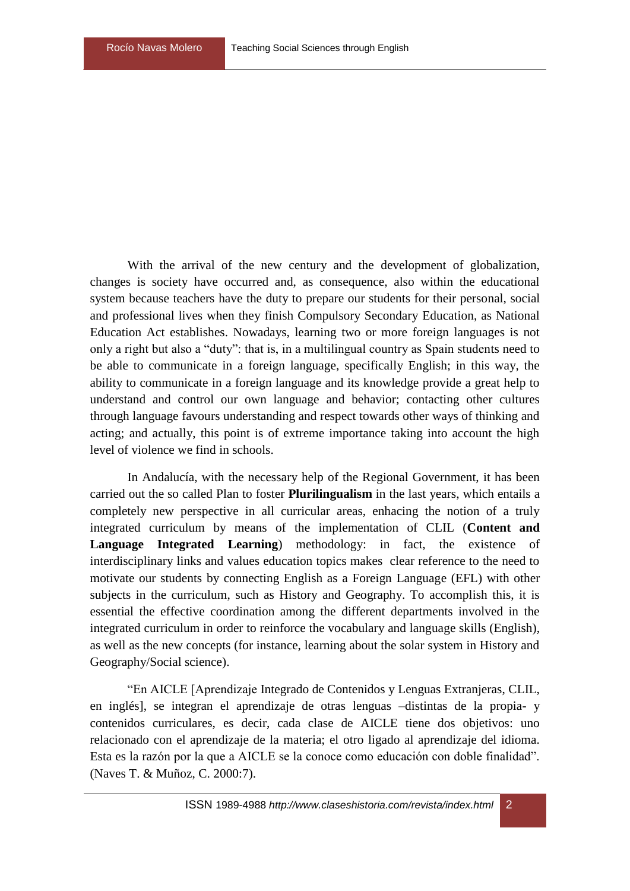With the arrival of the new century and the development of globalization, changes is society have occurred and, as consequence, also within the educational system because teachers have the duty to prepare our students for their personal, social and professional lives when they finish Compulsory Secondary Education, as National Education Act establishes. Nowadays, learning two or more foreign languages is not only a right but also a "duty": that is, in a multilingual country as Spain students need to be able to communicate in a foreign language, specifically English; in this way, the ability to communicate in a foreign language and its knowledge provide a great help to understand and control our own language and behavior; contacting other cultures through language favours understanding and respect towards other ways of thinking and acting; and actually, this point is of extreme importance taking into account the high level of violence we find in schools.

In Andalucía, with the necessary help of the Regional Government, it has been carried out the so called Plan to foster **Plurilingualism** in the last years, which entails a completely new perspective in all curricular areas, enhacing the notion of a truly integrated curriculum by means of the implementation of CLIL (**Content and Language Integrated Learning**) methodology: in fact, the existence of interdisciplinary links and values education topics makes clear reference to the need to motivate our students by connecting English as a Foreign Language (EFL) with other subjects in the curriculum, such as History and Geography. To accomplish this, it is essential the effective coordination among the different departments involved in the integrated curriculum in order to reinforce the vocabulary and language skills (English), as well as the new concepts (for instance, learning about the solar system in History and Geography/Social science).

"En AICLE [Aprendizaje Integrado de Contenidos y Lenguas Extranjeras, CLIL, en inglés], se integran el aprendizaje de otras lenguas –distintas de la propia- y contenidos curriculares, es decir, cada clase de AICLE tiene dos objetivos: uno relacionado con el aprendizaje de la materia; el otro ligado al aprendizaje del idioma. Esta es la razón por la que a AICLE se la conoce como educación con doble finalidad". (Naves T. & Muñoz, C. 2000:7).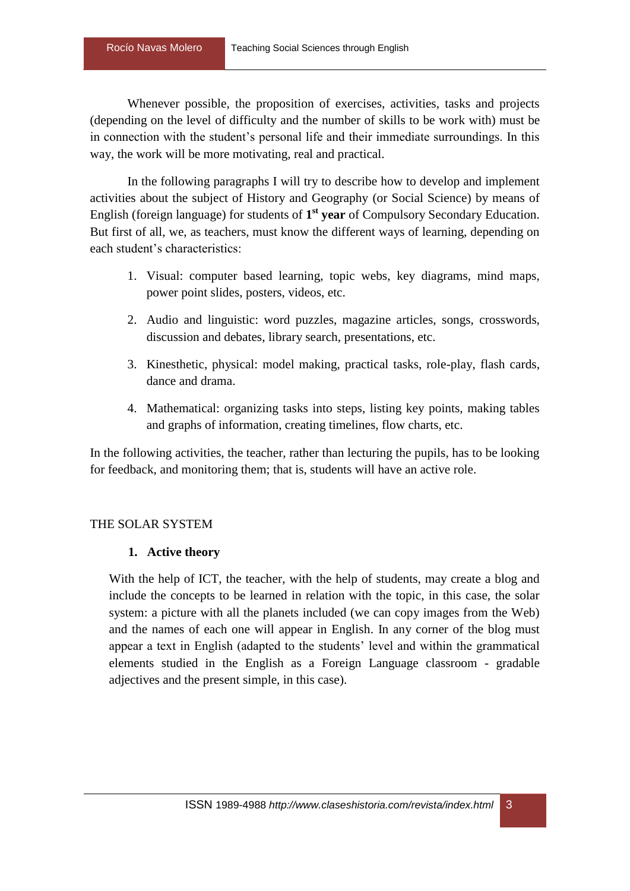Whenever possible, the proposition of exercises, activities, tasks and projects (depending on the level of difficulty and the number of skills to be work with) must be in connection with the student's personal life and their immediate surroundings. In this way, the work will be more motivating, real and practical.

In the following paragraphs I will try to describe how to develop and implement activities about the subject of History and Geography (or Social Science) by means of English (foreign language) for students of 1<sup>st</sup> year of Compulsory Secondary Education. But first of all, we, as teachers, must know the different ways of learning, depending on each student's characteristics:

- 1. Visual: computer based learning, topic webs, key diagrams, mind maps, power point slides, posters, videos, etc.
- 2. Audio and linguistic: word puzzles, magazine articles, songs, crosswords, discussion and debates, library search, presentations, etc.
- 3. Kinesthetic, physical: model making, practical tasks, role-play, flash cards, dance and drama.
- 4. Mathematical: organizing tasks into steps, listing key points, making tables and graphs of information, creating timelines, flow charts, etc.

In the following activities, the teacher, rather than lecturing the pupils, has to be looking for feedback, and monitoring them; that is, students will have an active role.

## THE SOLAR SYSTEM

## **1. Active theory**

With the help of ICT, the teacher, with the help of students, may create a blog and include the concepts to be learned in relation with the topic, in this case, the solar system: a picture with all the planets included (we can copy images from the Web) and the names of each one will appear in English. In any corner of the blog must appear a text in English (adapted to the students' level and within the grammatical elements studied in the English as a Foreign Language classroom - gradable adjectives and the present simple, in this case).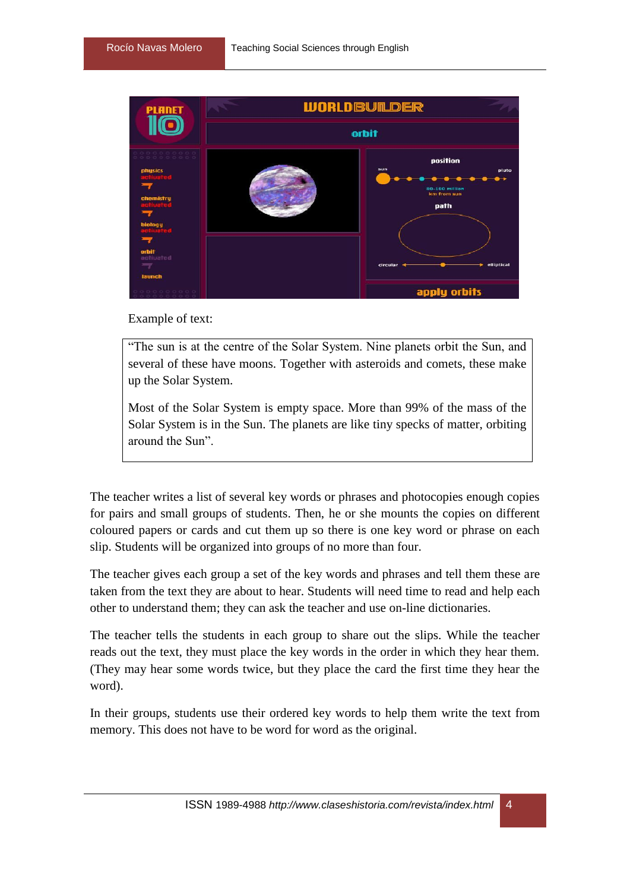

Example of text:

"The sun is at the centre of the Solar System. Nine planets orbit the Sun, and several of these have moons. Together with asteroids and comets, these make up the Solar System.

Most of the Solar System is empty space. More than 99% of the mass of the Solar System is in the Sun. The planets are like tiny specks of matter, orbiting around the Sun".

The teacher writes a list of several key words or phrases and photocopies enough copies for pairs and small groups of students. Then, he or she mounts the copies on different coloured papers or cards and cut them up so there is one key word or phrase on each slip. Students will be organized into groups of no more than four.

The teacher gives each group a set of the key words and phrases and tell them these are taken from the text they are about to hear. Students will need time to read and help each other to understand them; they can ask the teacher and use on-line dictionaries.

The teacher tells the students in each group to share out the slips. While the teacher reads out the text, they must place the key words in the order in which they hear them. (They may hear some words twice, but they place the card the first time they hear the word).

In their groups, students use their ordered key words to help them write the text from memory. This does not have to be word for word as the original.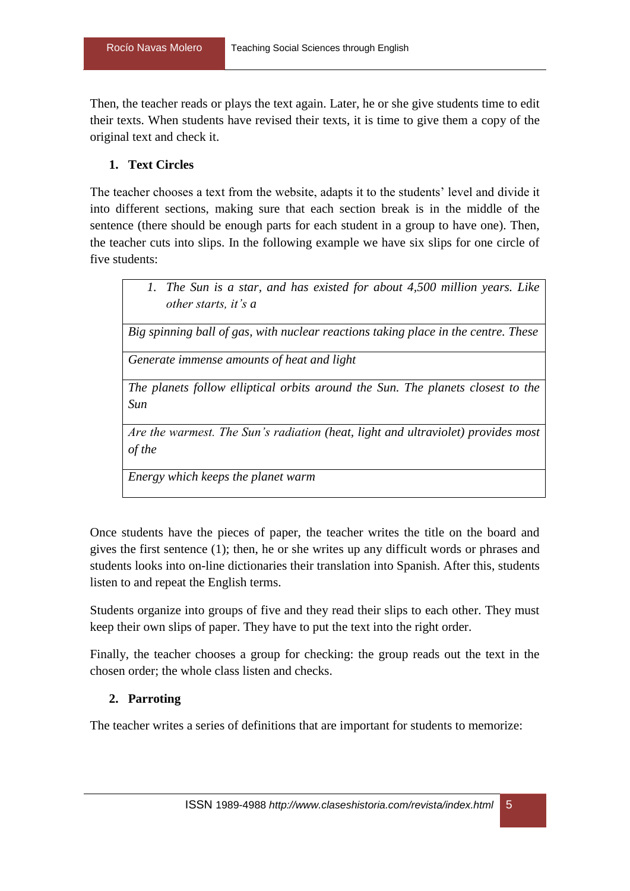Then, the teacher reads or plays the text again. Later, he or she give students time to edit their texts. When students have revised their texts, it is time to give them a copy of the original text and check it.

## **1. Text Circles**

The teacher chooses a text from the website, adapts it to the students' level and divide it into different sections, making sure that each section break is in the middle of the sentence (there should be enough parts for each student in a group to have one). Then, the teacher cuts into slips. In the following example we have six slips for one circle of five students:

> *1. The Sun is a star, and has existed for about 4,500 million years. Like other starts, it's a*

*Big spinning ball of gas, with nuclear reactions taking place in the centre. These*

*Generate immense amounts of heat and light*

*The planets follow elliptical orbits around the Sun. The planets closest to the Sun*

*Are the warmest. The Sun's radiation (heat, light and ultraviolet) provides most of the*

*Energy which keeps the planet warm*

Once students have the pieces of paper, the teacher writes the title on the board and gives the first sentence (1); then, he or she writes up any difficult words or phrases and students looks into on-line dictionaries their translation into Spanish. After this, students listen to and repeat the English terms.

Students organize into groups of five and they read their slips to each other. They must keep their own slips of paper. They have to put the text into the right order.

Finally, the teacher chooses a group for checking: the group reads out the text in the chosen order; the whole class listen and checks.

## **2. Parroting**

The teacher writes a series of definitions that are important for students to memorize: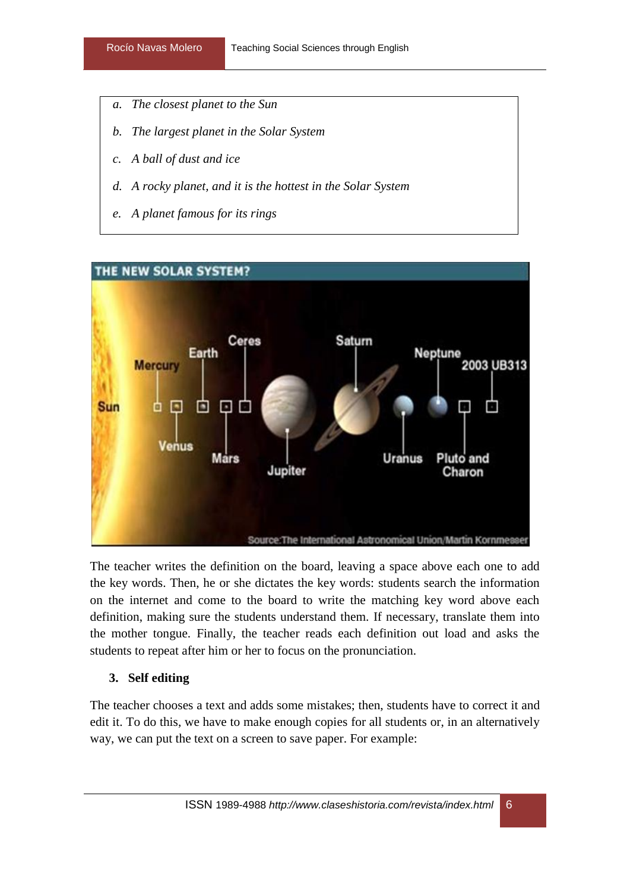- *a. The closest planet to the Sun*
- *b. The largest planet in the Solar System*
- *c. A ball of dust and ice*
- *d. A rocky planet, and it is the hottest in the Solar System*
- *e. A planet famous for its rings*



The teacher writes the definition on the board, leaving a space above each one to add the key words. Then, he or she dictates the key words: students search the information on the internet and come to the board to write the matching key word above each definition, making sure the students understand them. If necessary, translate them into the mother tongue. Finally, the teacher reads each definition out load and asks the students to repeat after him or her to focus on the pronunciation.

## **3. Self editing**

The teacher chooses a text and adds some mistakes; then, students have to correct it and edit it. To do this, we have to make enough copies for all students or, in an alternatively way, we can put the text on a screen to save paper. For example: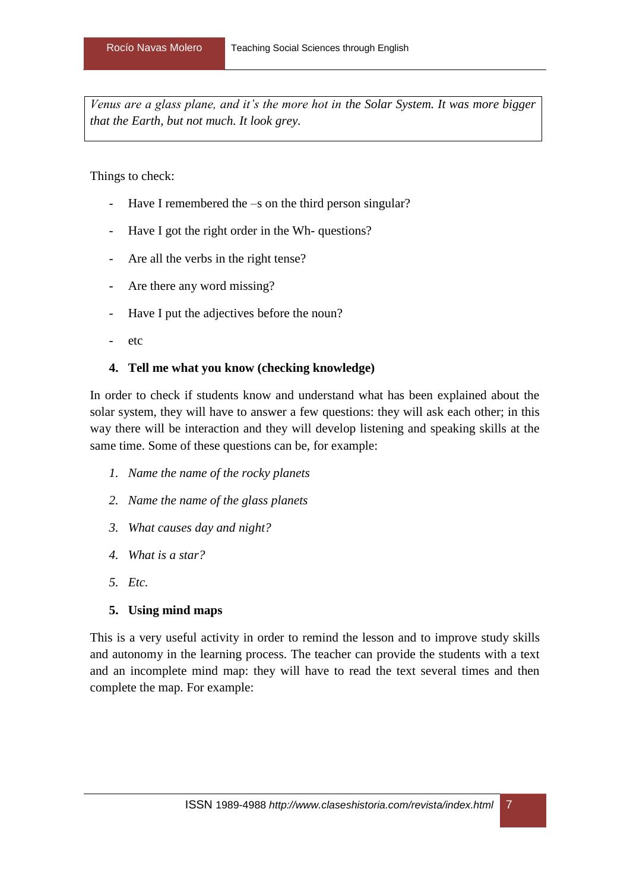*Venus are a glass plane, and it's the more hot in the Solar System. It was more bigger that the Earth, but not much. It look grey.*

Things to check:

- Have I remembered the –s on the third person singular?
- Have I got the right order in the Wh- questions?
- Are all the verbs in the right tense?
- Are there any word missing?
- Have I put the adjectives before the noun?
- etc

## **4. Tell me what you know (checking knowledge)**

In order to check if students know and understand what has been explained about the solar system, they will have to answer a few questions: they will ask each other; in this way there will be interaction and they will develop listening and speaking skills at the same time. Some of these questions can be, for example:

- *1. Name the name of the rocky planets*
- *2. Name the name of the glass planets*
- *3. What causes day and night?*
- *4. What is a star?*
- *5. Etc.*

## **5. Using mind maps**

This is a very useful activity in order to remind the lesson and to improve study skills and autonomy in the learning process. The teacher can provide the students with a text and an incomplete mind map: they will have to read the text several times and then complete the map. For example: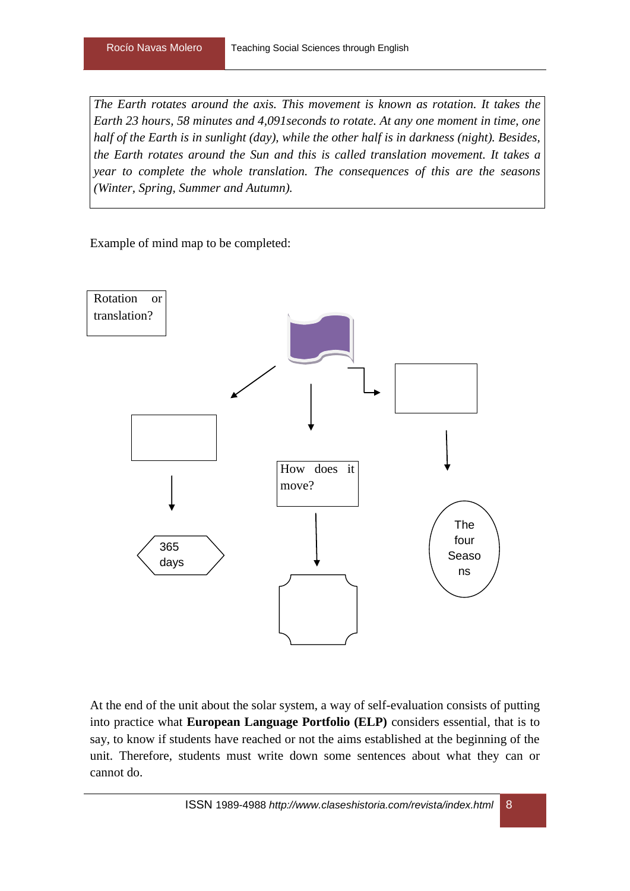*The Earth rotates around the axis. This movement is known as rotation. It takes the Earth 23 hours, 58 minutes and 4,091seconds to rotate. At any one moment in time, one half of the Earth is in sunlight (day), while the other half is in darkness (night). Besides, the Earth rotates around the Sun and this is called translation movement. It takes a year to complete the whole translation. The consequences of this are the seasons (Winter, Spring, Summer and Autumn).* 

Example of mind map to be completed:



At the end of the unit about the solar system, a way of self-evaluation consists of putting into practice what **European Language Portfolio (ELP)** considers essential, that is to say, to know if students have reached or not the aims established at the beginning of the unit. Therefore, students must write down some sentences about what they can or cannot do.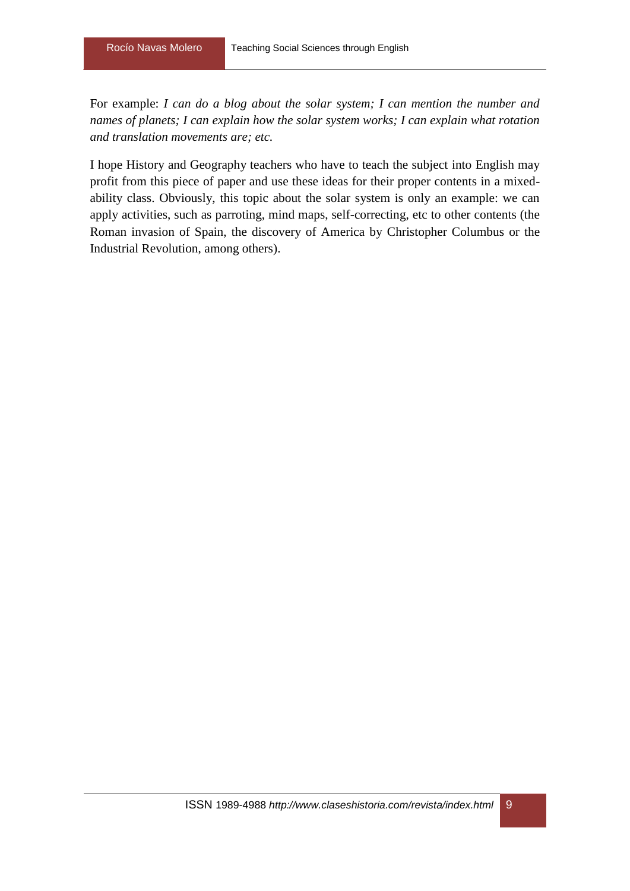For example: *I can do a blog about the solar system; I can mention the number and names of planets; I can explain how the solar system works; I can explain what rotation and translation movements are; etc.*

I hope History and Geography teachers who have to teach the subject into English may profit from this piece of paper and use these ideas for their proper contents in a mixedability class. Obviously, this topic about the solar system is only an example: we can apply activities, such as parroting, mind maps, self-correcting, etc to other contents (the Roman invasion of Spain, the discovery of America by Christopher Columbus or the Industrial Revolution, among others).